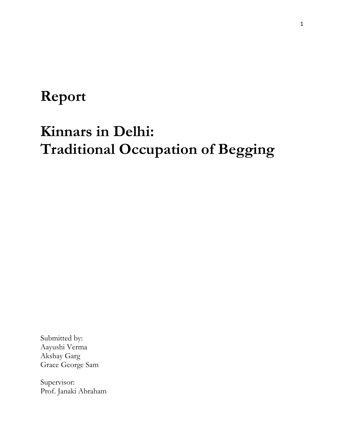# **Report**

# **Kinnars in Delhi: Traditional Occupation of Begging**

Submitted by: Aayushi Verma Akshay Garg Grace George Sam

Supervisor: Prof. Janaki Abraham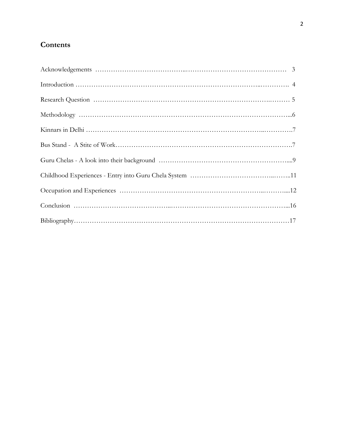# **Contents**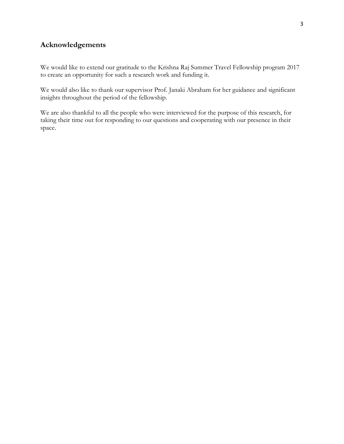# **Acknowledgements**

We would like to extend our gratitude to the Krishna Raj Summer Travel Fellowship program 2017 to create an opportunity for such a research work and funding it.

We would also like to thank our supervisor Prof. Janaki Abraham for her guidance and significant insights throughout the period of the fellowship.

We are also thankful to all the people who were interviewed for the purpose of this research, for taking their time out for responding to our questions and cooperating with our presence in their space.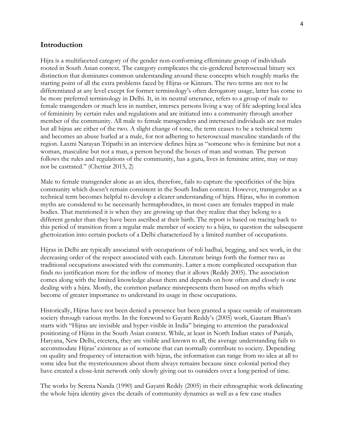#### **Introduction**

Hijra is a multifaceted category of the gender non-conforming effeminate group of individuals rooted in South Asian context. The category complicates the cis-gendered heterosexual binary sex distinction that dominates common understanding around these concepts which roughly marks the starting point of all the extra problems faced by Hijras or Kinnars. The two terms are not to be differentiated at any level except for former terminology"s often derogatory usage, latter has come to be more preferred terminology in Delhi. It, in its neutral utterance, refers to a group of male to female transgenders or much less in number, intersex persons living a way of life adopting local idea of femininity by certain rules and regulations and are initiated into a community through another member of the community. All male to female transgenders and intersexed individuals are not males but all hijras are either of the two. A slight change of tone, the term ceases to be a technical term and becomes an abuse hurled at a male, for not adhering to heterosexual masculine standards of the region. Laxmi Narayan Tripathi in an interview defines hijra as "someone who is feminine but not a woman, masculine but not a man, a person beyond the boxes of man and woman. The person follows the rules and regulations of the community, has a guru, lives in feminine attire, may or may not be castrated." (Chettiar 2015, 2)

Male to female transgender alone as an idea, therefore, fails to capture the specificities of the hijra community which doesn"t remain consistent in the South Indian context. However, transgender as a technical term becomes helpful to develop a clearer understanding of hijra. Hijras, who in common myths are considered to be necessarily hermaphrodites, in most cases are females trapped in male bodies. That mentioned it is when they are growing up that they realize that they belong to a different gender than they have been ascribed at their birth. The report is based on tracing back to this period of transition from a regular male member of society to a hijra, to question the subsequent ghettoization into certain pockets of a Delhi characterized by a limited number of occupations.

Hijras in Delhi are typically associated with occupations of toli badhai, begging, and sex work, in the decreasing order of the respect associated with each. Literature brings forth the former two as traditional occupations associated with the community. Latter a more complicated occupation that finds no justification more for the inflow of money that it allows (Reddy 2005). The association comes along with the limited knowledge about them and depends on how often and closely is one dealing with a hijra. Mostly, the common parlance misrepresents them based on myths which become of greater importance to understand its usage in these occupations.

Historically, Hijras have not been denied a presence but been granted a space outside of mainstream society through various myths. In the foreword to Gayatri Reddy"s (2005) work, Gautam Bhan"s starts with "Hijras are invisible and hyper-visible in India" bringing to attention the paradoxical positioning of Hijras in the South Asian context. While, at least in North Indian states of Punjab, Haryana, New Delhi, etcetera, they are visible and known to all, the average understanding fails to accommodate Hijras' existence as of someone that can normally contribute to society. Depending on quality and frequency of interaction with hijras, the information can range from no idea at all to some idea but the mysteriousness about them always remains because since colonial period they have created a close-knit network only slowly giving out to outsiders over a long period of time.

The works by Serena Nanda (1990) and Gayatri Reddy (2005) in their ethnographic work delineating the whole hijra identity gives the details of community dynamics as well as a few case studies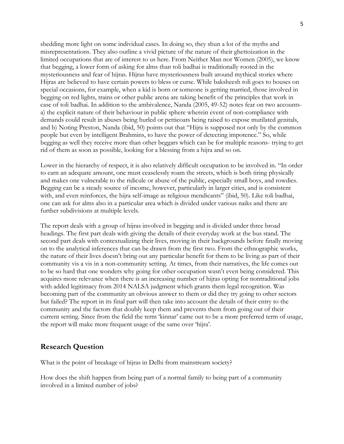shedding more light on some individual cases. In doing so, they shun a lot of the myths and misrepresentations. They also outline a vivid picture of the nature of their ghettoization in the limited occupations that are of interest to us here. From Neither Man nor Women (2005), we know that begging, a lower form of asking for alms than toli badhai is traditionally rooted in the mysteriousness and fear of hijras. Hijras have mysteriousness built around mythical stories where Hijras are believed to have certain powers to bless or curse. While baksheesh toli goes to houses on special occasions, for example, when a kid is born or someone is getting married, those involved in begging on red lights, trains or other public arena are taking benefit of the principles that work in case of toli badhai. In addition to the ambivalence, Nanda (2005, 49-52) notes fear on two accountsa) the explicit nature of their behaviour in public sphere wherein event of non-compliance with demands could result in abuses being hurled or petticoats being raised to expose mutilated genitals, and b) Noting Preston, Nanda (ibid, 50) points out that "Hijra is supposed not only by the common people but even by intelligent Brahmins, to have the power of detecting impotence." So, while begging as well they receive more than other beggars which can be for multiple reasons- trying to get rid of them as soon as possible, looking for a blessing from a hijra and so on.

Lower in the hierarchy of respect, it is also relatively difficult occupation to be involved in. "In order to earn an adequate amount, one must ceaselessly roam the streets, which is both tiring physically and makes one vulnerable to the ridicule or abuse of the public, especially small boys, and rowdies. Begging can be a steady source of income, however, particularly in larger cities, and is consistent with, and even reinforces, the hijra self-image as religious mendicants" (ibid, 50). Like toli badhai, one can ask for alms also in a particular area which is divided under various naiks and there are further subdivisions at multiple levels.

The report deals with a group of hijras involved in begging and is divided under three broad headings. The first part deals with giving the details of their everyday work at the bus stand. The second part deals with contextualizing their lives, moving in their backgrounds before finally moving on to the analytical inferences that can be drawn from the first two. From the ethnographic works, the nature of their lives doesn"t bring out any particular benefit for them to be living as part of their community vis a vis in a non-community setting. At times, from their narratives, the life comes out to be so hard that one wonders why going for other occupation wasn"t even being considered. This acquires more relevance when there is an increasing number of hijras opting for nontraditional jobs with added legitimacy from 2014 NALSA judgment which grants them legal recognition. Was becoming part of the community an obvious answer to them or did they try going to other sectors but failed? The report in its final part will then take into account the details of their entry to the community and the factors that doubly keep them and prevents them from going out of their current setting. Since from the field the term "kinnar" came out to be a more preferred term of usage, the report will make more frequent usage of the same over "hijra".

## **Research Question**

What is the point of breakage of hijras in Delhi from mainstream society?

How does the shift happen from being part of a normal family to being part of a community involved in a limited number of jobs?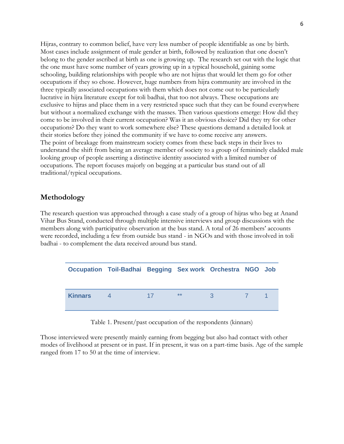Hijras, contrary to common belief, have very less number of people identifiable as one by birth. Most cases include assignment of male gender at birth, followed by realization that one doesn"t belong to the gender ascribed at birth as one is growing up. The research set out with the logic that the one must have some number of years growing up in a typical household, gaining some schooling, building relationships with people who are not hijras that would let them go for other occupations if they so chose. However, huge numbers from hijra community are involved in the three typically associated occupations with them which does not come out to be particularly lucrative in hijra literature except for toli badhai, that too not always. These occupations are exclusive to hijras and place them in a very restricted space such that they can be found everywhere but without a normalized exchange with the masses. Then various questions emerge: How did they come to be involved in their current occupation? Was it an obvious choice? Did they try for other occupations? Do they want to work somewhere else? These questions demand a detailed look at their stories before they joined the community if we have to come receive any answers. The point of breakage from mainstream society comes from these back steps in their lives to understand the shift from being an average member of society to a group of femininely cladded male looking group of people asserting a distinctive identity associated with a limited number of occupations. The report focuses majorly on begging at a particular bus stand out of all traditional/typical occupations.

### **Methodology**

The research question was approached through a case study of a group of hijras who beg at Anand Vihar Bus Stand, conducted through multiple intensive interviews and group discussions with the members along with participative observation at the bus stand. A total of 26 members' accounts were recorded, including a few from outside bus stand - in NGOs and with those involved in toli badhai - to complement the data received around bus stand.

|                | Occupation Toil-Badhai Begging Sex work Orchestra NGO Job |    |       |   |      |  |
|----------------|-----------------------------------------------------------|----|-------|---|------|--|
| <b>Kinnars</b> |                                                           | 17 | $***$ | 3 | $-7$ |  |

Table 1. Present/past occupation of the respondents (kinnars)

Those interviewed were presently mainly earning from begging but also had contact with other modes of livelihood at present or in past. If in present, it was on a part-time basis. Age of the sample ranged from 17 to 50 at the time of interview.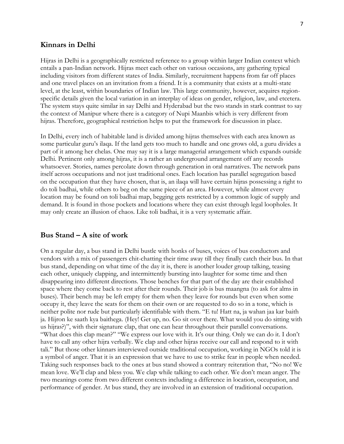#### **Kinnars in Delhi**

Hijras in Delhi is a geographically restricted reference to a group within larger Indian context which entails a pan-Indian network. Hijras meet each other on various occasions, any gathering typical including visitors from different states of India. Similarly, recruitment happens from far off places and one travel places on an invitation from a friend. It is a community that exists at a multi-state level, at the least, within boundaries of Indian law. This large community, however, acquires regionspecific details given the local variation in an interplay of ideas on gender, religion, law, and etcetera. The system stays quite similar in say Delhi and Hyderabad but the two stands in stark contrast to say the context of Manipur where there is a category of Nupi Maanbis which is very different from hijras. Therefore, geographical restriction helps to put the framework for discussion in place.

In Delhi, every inch of habitable land is divided among hijras themselves with each area known as some particular guru"s ilaqa. If the land gets too much to handle and one grows old, a guru divides a part of it among her chelas. One may say it is a large managerial arrangement which expands outside Delhi. Pertinent only among hijras, it is a rather an underground arrangement off any records whatsoever. Stories, names percolate down through generation in oral narratives. The network pans itself across occupations and not just traditional ones. Each location has parallel segregation based on the occupation that they have chosen, that is, an ilaqa will have certain hijras possessing a right to do toli badhai, while others to beg on the same piece of an area. However, while almost every location may be found on toli badhai map, begging gets restricted by a common logic of supply and demand. It is found in those pockets and locations where they can exist through legal loopholes. It may only create an illusion of chaos. Like toli badhai, it is a very systematic affair.

#### **Bus Stand – A site of work**

On a regular day, a bus stand in Delhi bustle with honks of buses, voices of bus conductors and vendors with a mix of passengers chit-chatting their time away till they finally catch their bus. In that bus stand, depending on what time of the day it is, there is another louder group talking, teasing each other, uniquely clapping, and intermittently bursting into laughter for some time and then disappearing into different directions. Those benches for that part of the day are their established space where they come back to rest after their rounds. Their job is bus maangna (to ask for alms in buses). Their bench may be left empty for them when they leave for rounds but even when some occupy it, they leave the seats for them on their own or are requested to do so in a tone, which is neither polite nor rude but particularly identifiable with them. "E tu! Hatt na, ja wahan jaa kar baith ja. Hijron ke saath kya baithega. (Hey! Get up, no. Go sit over there. What would you do sitting with us hijras?)", with their signature clap, that one can hear throughout their parallel conversations. "What does this clap mean?" "We express our love with it. It's our thing. Only we can do it. I don't have to call any other hijra verbally. We clap and other hijras receive our call and respond to it with tali." But those other kinnars interviewed outside traditional occupation, working in NGOs told it is a symbol of anger. That it is an expression that we have to use to strike fear in people when needed. Taking such responses back to the ones at bus stand showed a contrary reiteration that, "No no! We mean love. We"ll clap and bless you. We clap while talking to each other. We don"t mean anger. The two meanings come from two different contexts including a difference in location, occupation, and performance of gender. At bus stand, they are involved in an extension of traditional occupation.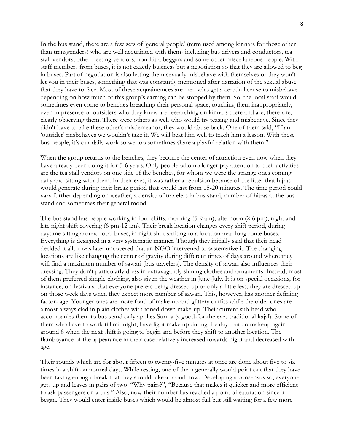In the bus stand, there are a few sets of "general people" (term used among kinnars for those other than transgenders) who are well acquainted with them- including bus drivers and conductors, tea stall vendors, other fleeting vendors, non-hijra beggars and some other miscellaneous people. With staff members from buses, it is not exactly business but a negotiation so that they are allowed to beg in buses. Part of negotiation is also letting them sexually misbehave with themselves or they won"t let you in their buses, something that was constantly mentioned after narration of the sexual abuse that they have to face. Most of these acquaintances are men who get a certain license to misbehave depending on how much of this group"s earning can be stopped by them. So, the local staff would sometimes even come to benches breaching their personal space, touching them inappropriately, even in presence of outsiders who they knew are researching on kinnars there and are, therefore, clearly observing them. There were others as well who would try teasing and misbehave. Since they didn't have to take these other's misdemeanor, they would abuse back. One of them said, "If an "outsider" misbehaves we wouldn"t take it. We will beat him well to teach him a lesson. With these bus people, it's our daily work so we too sometimes share a playful relation with them."

When the group returns to the benches, they become the center of attraction even now when they have already been doing it for 5-6 years. Only people who no longer pay attention to their activities are the tea stall vendors on one side of the benches, for whom we were the strange ones coming daily and sitting with them. In their eyes, it was rather a repulsion because of the litter that hijras would generate during their break period that would last from 15-20 minutes. The time period could vary further depending on weather, a density of travelers in bus stand, number of hijras at the bus stand and sometimes their general mood.

The bus stand has people working in four shifts, morning (5-9 am), afternoon (2-6 pm), night and late night shift covering (6 pm-12 am). Their break location changes every shift period, during daytime sitting around local buses, in night shift shifting to a location near long route buses. Everything is designed in a very systematic manner. Though they initially said that their head decided it all, it was later uncovered that an NGO intervened to systematize it. The changing locations are like changing the center of gravity during different times of days around where they will find a maximum number of sawari (bus travelers). The density of sawari also influences their dressing. They don't particularly dress in extravagantly shining clothes and ornaments. Instead, most of them preferred simple clothing, also given the weather in June-July. It is on special occasions, for instance, on festivals, that everyone prefers being dressed up or only a little less, they are dressed up on those week days when they expect more number of sawari. This, however, has another defining factor- age. Younger ones are more fond of make-up and glittery outfits while the older ones are almost always clad in plain clothes with toned down make-up. Their current sub-head who accompanies them to bus stand only applies Surma (a good-for-the eyes traditional kajal). Some of them who have to work till midnight, have light make up during the day, but do makeup again around 6 when the next shift is going to begin and before they shift to another location. The flamboyance of the appearance in their case relatively increased towards night and decreased with age.

Their rounds which are for about fifteen to twenty-five minutes at once are done about five to six times in a shift on normal days. While resting, one of them generally would point out that they have been taking enough break that they should take a round now. Developing a consensus so, everyone gets up and leaves in pairs of two. "Why pairs?", "Because that makes it quicker and more efficient to ask passengers on a bus." Also, now their number has reached a point of saturation since it began. They would enter inside buses which would be almost full but still waiting for a few more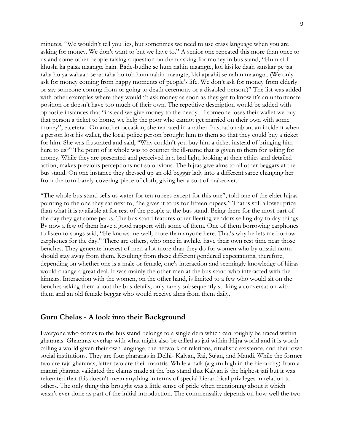minutes. "We wouldn"t tell you lies, but sometimes we need to use crass language when you are asking for money. We don"t want to but we have to." A senior one repeated this more than once to us and some other people raising a question on them asking for money in bus stand, "Hum sirf khushi ka paisa maangte hain. Bade-budhe se hum nahin maangte, koi kisi ke daah sanskar pe jaa raha ho ya wahaan se aa raha ho toh hum nahin maangte, kisi apaahij se nahin maangta. (We only ask for money coming from happy moments of people"s life. We don"t ask for money from elderly or say someone coming from or going to death ceremony or a disabled person.)" The list was added with other examples where they wouldn't ask money as soon as they get to know it's an unfortunate position or doesn"t have too much of their own. The repetitive description would be added with opposite instances that "instead we give money to the needy. If someone loses their wallet we buy that person a ticket to home, we help the poor who cannot get married on their own with some money", etcetera. On another occasion, she narrated in a rather frustration about an incident when a person lost his wallet, the local police person brought him to them so that they could buy a ticket for him. She was frustrated and said, "Why couldn"t you buy him a ticket instead of bringing him here to us?" The point of it whole was to counter the ill-name that is given to them for asking for money. While they are presented and perceived in a bad light, looking at their ethics and detailed action, makes previous perceptions not so obvious. The hijras give alms to all other beggars at the bus stand. On one instance they dressed up an old beggar lady into a different saree changing her from the torn-barely-covering-piece of cloth, giving her a sort of makeover.

"The whole bus stand sells us water for ten rupees except for this one", told one of the elder hijras pointing to the one they sat next to, "he gives it to us for fifteen rupees." That is still a lower price than what it is available at for rest of the people at the bus stand. Being there for the most part of the day they get some perks. The bus stand features other fleeting vendors selling day to day things. By now a few of them have a good rapport with some of them. One of them borrowing earphones to listen to songs said, "He knows me well, more than anyone here. That"s why he lets me borrow earphones for the day." There are others, who once in awhile, have their own rest time near those benches. They generate interest of men a lot more than they do for women who by unsaid norm should stay away from them. Resulting from these different gendered expectations, therefore, depending on whether one is a male or female, one"s interaction and seemingly knowledge of hijras would change a great deal. It was mainly the other men at the bus stand who interacted with the kinnars. Interaction with the women, on the other hand, is limited to a few who would sit on the benches asking them about the bus details, only rarely subsequently striking a conversation with them and an old female beggar who would receive alms from them daily.

#### **Guru Chelas - A look into their Background**

Everyone who comes to the bus stand belongs to a single dera which can roughly be traced within gharanas. Gharanas overlap with what might also be called as jati within Hijra world and it is worth calling a world given their own language, the network of relations, ritualistic existence, and their own social institutions. They are four gharanas in Delhi- Kalyan, Rai, Sujan, and Mandi. While the former two are raja gharanas, latter two are their mantris. While a naik (a guru high in the hierarchy) from a mantri gharana validated the claims made at the bus stand that Kalyan is the highest jati but it was reiterated that this doesn"t mean anything in terms of special hierarchical privileges in relation to others. The only thing this brought was a little sense of pride when mentioning about it which wasn"t ever done as part of the initial introduction. The commensality depends on how well the two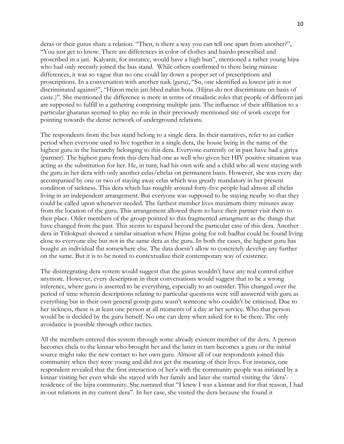deras or their gurus share a relation. "Then, is there a way you can tell one apart from another?", "You just get to know. There are differences in color of clothes and hairdo prescribed and proscribed in a jati. Kalyanis, for instance, would have a high bun", mentioned a rather young hijra who had only recently joined the bus stand. While others confirmed to there being minute differences, it was so vague that no one could lay down a proper set of prescriptions and proscriptions. In a conversation with another naik (guru), "So, one identified as lowest jati is not discriminated against?", "Hijron mein jati-bhed nahin hota. (Hijras do not discriminate on basis of caste.)". She mentioned the difference is more in terms of ritualistic roles that people of different jati are supposed to fulfill in a gathering comprising multiple jatis. The influence of their affiliation to a particular gharanas seemed to play no role in their previously mentioned site of work except for pointing towards the dense network of underground relations.

The respondents from the bus stand belong to a single dera. In their narratives, refer to an earlier period when everyone used to live together in a single dera, the house being in the name of the highest guru in the hierarchy belonging to this dera. Everyone currently or in past have had a giriya (partner). The highest guru from this dera had one as well who given her HIV positive situation was acting as the substitution for her. He, in turn, had his own wife and a child who all were staying with the guru in her dera with only another celas/chelas on permanent basis. However, she was every day accompanied by one or two of staying away celas which was greatly mandatory in her present condition of sickness. This dera which has roughly around forty-five people had almost all chelas living in an independent arrangement. But everyone was supposed to be staying nearby so that they could be called upon whenever needed. The farthest member lives maximum thirty minutes away from the location of the guru. This arrangement allowed them to have their partner visit them to their place. Older members of the group pointed to this fragmented arrangment as the things that have changed from the past. This seems to expand beyond the particular case of this dera. Another dera in Trilokpuri showed a similar situation where Hijras going for toli badhai could be found living close to everyone else but not in the same dera as the guru. In both the cases, the highest guru has bought an individual flat somewhere else. The data doesn"t allow to concretely develop any further on the same. But it is to be noted to contextualize their contemporary way of existence.

The disintegrating dera system would suggest that the gurus wouldn"t have any real control either anymore. However, every description in their conversations would suggest that to be a wrong inference, where guru is asserted to be everything, especially to an outsider. This changed over the period of time wherein descriptions relating to particular questions were still answered with guru as everything but in their own general gossip guru wasn"t someone who couldn"t be criticised. Due to her sickness, there is at least one person at all moments of a day at her service. Who that person would be is decided by the guru herself. No one can deny when asked for to be there. The only avoidance is possible through other tactics.

All the members entered this system through some already existent member of the dera. A person becomes chela to the kinnar who brought her and the latter in turn becomes a guru or the initial source might take the new contact to her own guru. Almost all of our respondents joined this community when they were young and did not get the meaning of their lives. For instance, one respondent revealed that the first interaction of her"s with the community people was initiated by a kinnar visiting her even while she stayed with her family and later she started visiting the "dera" residence of the hijra community. She narrated that "I knew I was a kinnar and for that reason, I had in-out relations in my current dera". In her case, she visited the dera because she found it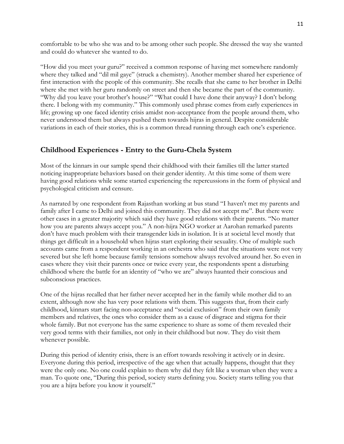comfortable to be who she was and to be among other such people. She dressed the way she wanted and could do whatever she wanted to do.

"How did you meet your guru?" received a common response of having met somewhere randomly where they talked and "dil mil gaye" (struck a chemistry). Another member shared her experience of first interaction with the people of this community. She recalls that she came to her brother in Delhi where she met with her guru randomly on street and then she became the part of the community. "Why did you leave your brother's house?" "What could I have done their anyway? I don't belong there. I belong with my community." This commonly used phrase comes from early experiences in life; growing up one faced identity crisis amidst non-acceptance from the people around them, who never understood them but always pushed them towards hijras in general. Despite considerable variations in each of their stories, this is a common thread running through each one"s experience.

# **Childhood Experiences - Entry to the Guru-Chela System**

Most of the kinnars in our sample spend their childhood with their families till the latter started noticing inappropriate behaviors based on their gender identity. At this time some of them were having good relations while some started experiencing the repercussions in the form of physical and psychological criticism and censure.

As narrated by one respondent from Rajasthan working at bus stand "I haven't met my parents and family after I came to Delhi and joined this community. They did not accept me". But there were other cases in a greater majority which said they have good relations with their parents. "No matter how you are parents always accept you." A non-hijra NGO worker at Aarohan remarked parents don"t have much problem with their transgender kids in isolation. It is at societal level mostly that things get difficult in a household when hijras start exploring their sexuality. One of multiple such accounts came from a respondent working in an orchestra who said that the situations were not very severed but she left home because family tensions somehow always revolved around her. So even in cases where they visit their parents once or twice every year, the respondents spent a disturbing childhood where the battle for an identity of "who we are" always haunted their conscious and subconscious practices.

One of the hijras recalled that her father never accepted her in the family while mother did to an extent, although now she has very poor relations with them. This suggests that, from their early childhood, kinnars start facing non-acceptance and "social exclusion" from their own family members and relatives, the ones who consider them as a cause of disgrace and stigma for their whole family. But not everyone has the same experience to share as some of them revealed their very good terms with their families, not only in their childhood but now. They do visit them whenever possible.

During this period of identity crisis, there is an effort towards resolving it actively or in desire. Everyone during this period, irrespective of the age when that actually happens, thought that they were the only one. No one could explain to them why did they felt like a woman when they were a man. To quote one, "During this period, society starts defining you. Society starts telling you that you are a hijra before you know it yourself."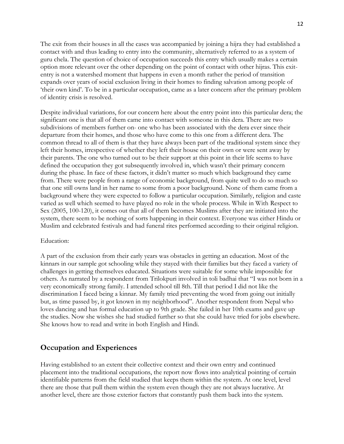The exit from their houses in all the cases was accompanied by joining a hijra they had established a contact with and thus leading to entry into the community, alternatively referred to as a system of guru chela. The question of choice of occupation succeeds this entry which usually makes a certain option more relevant over the other depending on the point of contact with other hijras. This exitentry is not a watershed moment that happens in even a month rather the period of transition expands over years of social exclusion living in their homes to finding salvation among people of "their own kind". To be in a particular occupation, came as a later concern after the primary problem of identity crisis is resolved.

Despite individual variations, for our concern here about the entry point into this particular dera; the significant one is that all of them came into contact with someone in this dera. There are two subdivisions of members further on- one who has been associated with the dera ever since their departure from their homes, and those who have come to this one from a different dera. The common thread to all of them is that they have always been part of the traditional system since they left their homes, irrespective of whether they left their house on their own or were sent away by their parents. The one who turned out to be their support at this point in their life seems to have defined the occupation they got subsequently involved in, which wasn"t their primary concern during the phase. In face of these factors, it didn't matter so much which background they came from. There were people from a range of economic background, from quite well to do so much so that one still owns land in her name to some from a poor background. None of them came from a background where they were expected to follow a particular occupation. Similarly, religion and caste varied as well which seemed to have played no role in the whole process. While in With Respect to Sex (2005, 100-120), it comes out that all of them becomes Muslims after they are initiated into the system, there seem to be nothing of sorts happening in their context. Everyone was either Hindu or Muslim and celebrated festivals and had funeral rites performed according to their original religion.

#### Education:

A part of the exclusion from their early years was obstacles in getting an education. Most of the kinnars in our sample got schooling while they stayed with their families but they faced a variety of challenges in getting themselves educated. Situations were suitable for some while impossible for others. As narrated by a respondent from Trilokpuri involved in toli badhai that "I was not born in a very economically strong family. I attended school till 8th. Till that period I did not like the discrimination I faced being a kinnar. My family tried preventing the word from going out initially but, as time passed by, it got known in my neighborhood". Another respondent from Nepal who loves dancing and has formal education up to 9th grade. She failed in her 10th exams and gave up the studies. Now she wishes she had studied further so that she could have tried for jobs elsewhere. She knows how to read and write in both English and Hindi.

#### **Occupation and Experiences**

Having established to an extent their collective context and their own entry and continued placement into the traditional occupations, the report now flows into analytical pointing of certain identifiable patterns from the field studied that keeps them within the system. At one level, level there are those that pull them within the system even though they are not always lucrative. At another level, there are those exterior factors that constantly push them back into the system.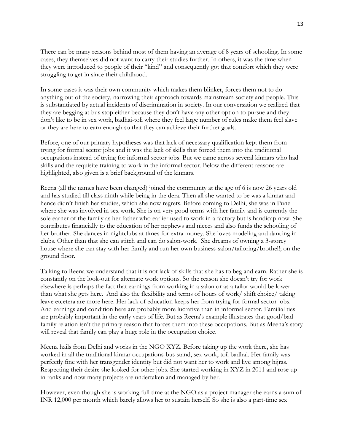There can be many reasons behind most of them having an average of 8 years of schooling. In some cases, they themselves did not want to carry their studies further. In others, it was the time when they were introduced to people of their "kind" and consequently got that comfort which they were struggling to get in since their childhood.

In some cases it was their own community which makes them blinker, forces them not to do anything out of the society, narrowing their approach towards mainstream society and people. This is substantiated by actual incidents of discrimination in society. In our conversation we realized that they are begging at bus stop either because they don"t have any other option to pursue and they don"t like to be in sex work, badhai-toli where they feel large number of rules make them feel slave or they are here to earn enough so that they can achieve their further goals.

Before, one of our primary hypotheses was that lack of necessary qualification kept them from trying for formal sector jobs and it was the lack of skills that forced them into the traditional occupations instead of trying for informal sector jobs. But we came across several kinnars who had skills and the requisite training to work in the informal sector. Below the different reasons are highlighted, also given is a brief background of the kinnars.

Reena (all the names have been changed) joined the community at the age of 6 is now 26 years old and has studied till class ninth while being in the dera. Then all she wanted to be was a kinnar and hence didn"t finish her studies, which she now regrets. Before coming to Delhi, she was in Pune where she was involved in sex work. She is on very good terms with her family and is currently the sole earner of the family as her father who earlier used to work in a factory but is handicap now. She contributes financially to the education of her nephews and nieces and also funds the schooling of her brother. She dances in nightclubs at times for extra money. She loves modeling and dancing in clubs. Other than that she can stitch and can do salon-work. She dreams of owning a 3-storey house where she can stay with her family and run her own business-salon/tailoring/brothel!; on the ground floor.

Talking to Reena we understand that it is not lack of skills that she has to beg and earn. Rather she is constantly on the look-out for alternate work options. So the reason she doesn"t try for work elsewhere is perhaps the fact that earnings from working in a salon or as a tailor would be lower than what she gets here. And also the flexibility and terms of hours of work/ shift choice/ taking leave etcetera are more here. Her lack of education keeps her from trying for formal sector jobs. And earnings and condition here are probably more lucrative than in informal sector. Familial ties are probably important in the early years of life. But as Reena"s example illustrates that good/bad family relation isn't the primary reason that forces them into these occupations. But as Meena's story will reveal that family can play a huge role in the occupation choice.

Meena hails from Delhi and works in the NGO XYZ. Before taking up the work there, she has worked in all the traditional kinnar occupations-bus stand, sex work, toil badhai. Her family was perfectly fine with her transgender identity but did not want her to work and live among hijras. Respecting their desire she looked for other jobs. She started working in XYZ in 2011 and rose up in ranks and now many projects are undertaken and managed by her.

However, even though she is working full time at the NGO as a project manager she earns a sum of INR 12,000 per month which barely allows her to sustain herself. So she is also a part-time sex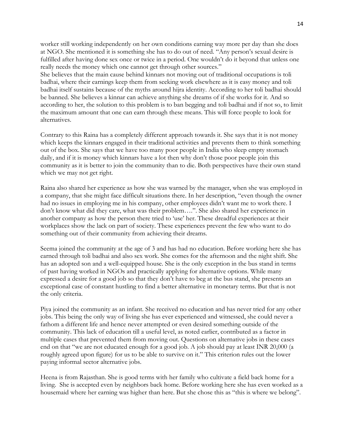worker still working independently on her own conditions earning way more per day than she does at NGO. She mentioned it is something she has to do out of need. "Any person"s sexual desire is fulfilled after having done sex once or twice in a period. One wouldn"t do it beyond that unless one really needs the money which one cannot get through other sources."

She believes that the main cause behind kinnars not moving out of traditional occupations is toli badhai, where their earnings keep them from seeking work elsewhere as it is easy money and toli badhai itself sustains because of the myths around hijra identity. According to her toli badhai should be banned. She believes a kinnar can achieve anything she dreams of if she works for it. And so according to her, the solution to this problem is to ban begging and toli badhai and if not so, to limit the maximum amount that one can earn through these means. This will force people to look for alternatives.

Contrary to this Raina has a completely different approach towards it. She says that it is not money which keeps the kinnars engaged in their traditional activities and prevents them to think something out of the box. She says that we have too many poor people in India who sleep empty stomach daily, and if it is money which kinnars have a lot then why don"t those poor people join this community as it is better to join the community than to die. Both perspectives have their own stand which we may not get right.

Raina also shared her experience as how she was warned by the manager, when she was employed in a company, that she might face difficult situations there. In her description, "even though the owner had no issues in employing me in his company, other employees didn"t want me to work there. I don"t know what did they care, what was their problem….". She also shared her experience in another company as how the person there tried to "use" her. These dreadful experiences at their workplaces show the lack on part of society. These experiences prevent the few who want to do something out of their community from achieving their dreams.

Seema joined the community at the age of 3 and has had no education. Before working here she has earned through toli badhai and also sex work. She comes for the afternoon and the night shift. She has an adopted son and a well-equipped house. She is the only exception in the bus stand in terms of past having worked in NGOs and practically applying for alternative options. While many expressed a desire for a good job so that they don"t have to beg at the bus stand, she presents an exceptional case of constant hustling to find a better alternative in monetary terms. But that is not the only criteria.

Piya joined the community as an infant. She received no education and has never tried for any other jobs. This being the only way of living she has ever experienced and witnessed, she could never a fathom a different life and hence never attempted or even desired something outside of the community. This lack of education till a useful level, as noted earlier, contributed as a factor in multiple cases that prevented them from moving out. Questions on alternative jobs in these cases end on that "we are not educated enough for a good job. A job should pay at least INR 20,000 (a roughly agreed upon figure) for us to be able to survive on it." This criterion rules out the lower paying informal sector alternative jobs.

Heena is from Rajasthan. She is good terms with her family who cultivate a field back home for a living. She is accepted even by neighbors back home. Before working here she has even worked as a housemaid where her earning was higher than here. But she chose this as "this is where we belong".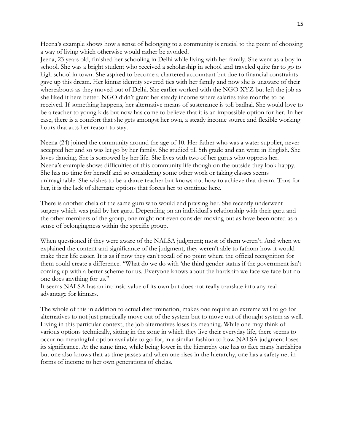Heena"s example shows how a sense of belonging to a community is crucial to the point of choosing a way of living which otherwise would rather be avoided.

Jeena, 23 years old, finished her schooling in Delhi while living with her family. She went as a boy in school. She was a bright student who received a scholarship in school and traveled quite far to go to high school in town. She aspired to become a chartered accountant but due to financial constraints gave up this dream. Her kinnar identity severed ties with her family and now she is unaware of their whereabouts as they moved out of Delhi. She earlier worked with the NGO XYZ but left the job as she liked it here better. NGO didn"t grant her steady income where salaries take months to be received. If something happens, her alternative means of sustenance is toli badhai. She would love to be a teacher to young kids but now has come to believe that it is an impossible option for her. In her case, there is a comfort that she gets amongst her own, a steady income source and flexible working hours that acts her reason to stay.

Neena (24) joined the community around the age of 10. Her father who was a water supplier, never accepted her and so was let go by her family. She studied till 5th grade and can write in English. She loves dancing. She is sorrowed by her life. She lives with two of her gurus who oppress her. Neena"s example shows difficulties of this community life though on the outside they look happy. She has no time for herself and so considering some other work or taking classes seems unimaginable. She wishes to be a dance teacher but knows not how to achieve that dream. Thus for her, it is the lack of alternate options that forces her to continue here.

There is another chela of the same guru who would end praising her. She recently underwent surgery which was paid by her guru. Depending on an individual's relationship with their guru and the other members of the group, one might not even consider moving out as have been noted as a sense of belongingness within the specific group.

When questioned if they were aware of the NALSA judgment; most of them weren"t. And when we explained the content and significance of the judgment, they weren"t able to fathom how it would make their life easier. It is as if now they can"t recall of no point where the official recognition for them could create a difference. "What do we do with "the third gender status if the government isn"t coming up with a better scheme for us. Everyone knows about the hardship we face we face but no one does anything for us."

It seems NALSA has an intrinsic value of its own but does not really translate into any real advantage for kinnars.

The whole of this in addition to actual discrimination, makes one require an extreme will to go for alternatives to not just practically move out of the system but to move out of thought system as well. Living in this particular context, the job alternatives loses its meaning. While one may think of various options technically, sitting in the zone in which they live their everyday life, there seems to occur no meaningful option available to go for, in a similar fashion to how NALSA judgment loses its significance. At the same time, while being lower in the hierarchy one has to face many hardships but one also knows that as time passes and when one rises in the hierarchy, one has a safety net in forms of income to her own generations of chelas.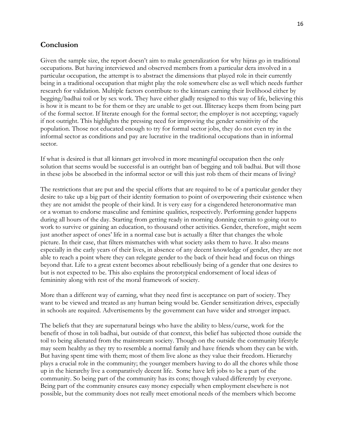### **Conclusion**

Given the sample size, the report doesn't aim to make generalization for why hijras go in traditional occupations. But having interviewed and observed members from a particular dera involved in a particular occupation, the attempt is to abstract the dimensions that played role in their currently being in a traditional occupation that might play the role somewhere else as well which needs further research for validation. Multiple factors contribute to the kinnars earning their livelihood either by begging/badhai toil or by sex work. They have either gladly resigned to this way of life, believing this is how it is meant to be for them or they are unable to get out. Illiteracy keeps them from being part of the formal sector. If literate enough for the formal sector; the employer is not accepting; vaguely if not outright. This highlights the pressing need for improving the gender sensitivity of the population. Those not educated enough to try for formal sector jobs, they do not even try in the informal sector as conditions and pay are lucrative in the traditional occupations than in informal sector.

If what is desired is that all kinnars get involved in more meaningful occupation then the only solution that seems would be successful is an outright ban of begging and toli badhai. But will those in these jobs be absorbed in the informal sector or will this just rob them of their means of living?

The restrictions that are put and the special efforts that are required to be of a particular gender they desire to take up a big part of their identity formation to point of overpowering their existence when they are not amidst the people of their kind. It is very easy for a cisgendered heteronormative man or a woman to endorse masculine and feminine qualities, respectively. Performing gender happens during all hours of the day. Starting from getting ready in morning donning certain to going out to work to survive or gaining an education, to thousand other activities. Gender, therefore, might seem just another aspect of ones" life in a normal case but is actually a filter that changes the whole picture. In their case, that filters mismatches with what society asks them to have. It also means especially in the early years of their lives, in absence of any decent knowledge of gender, they are not able to reach a point where they can relegate gender to the back of their head and focus on things beyond that. Life to a great extent becomes about rebelliously being of a gender that one desires to but is not expected to be. This also explains the prototypical endorsement of local ideas of femininity along with rest of the moral framework of society.

More than a different way of earning, what they need first is acceptance on part of society. They want to be viewed and treated as any human being would be. Gender sensitization drives, especially in schools are required. Advertisements by the government can have wider and stronger impact.

The beliefs that they are supernatural beings who have the ability to bless/curse, work for the benefit of those in toli badhai, but outside of that context, this belief has subjected those outside the toil to being alienated from the mainstream society. Though on the outside the community lifestyle may seem healthy as they try to resemble a normal family and have friends whom they can be with. But having spent time with them; most of them live alone as they value their freedom. Hierarchy plays a crucial role in the community; the younger members having to do all the chores while those up in the hierarchy live a comparatively decent life. Some have left jobs to be a part of the community. So being part of the community has its cons; though valued differently by everyone. Being part of the community ensures easy money especially when employment elsewhere is not possible, but the community does not really meet emotional needs of the members which become